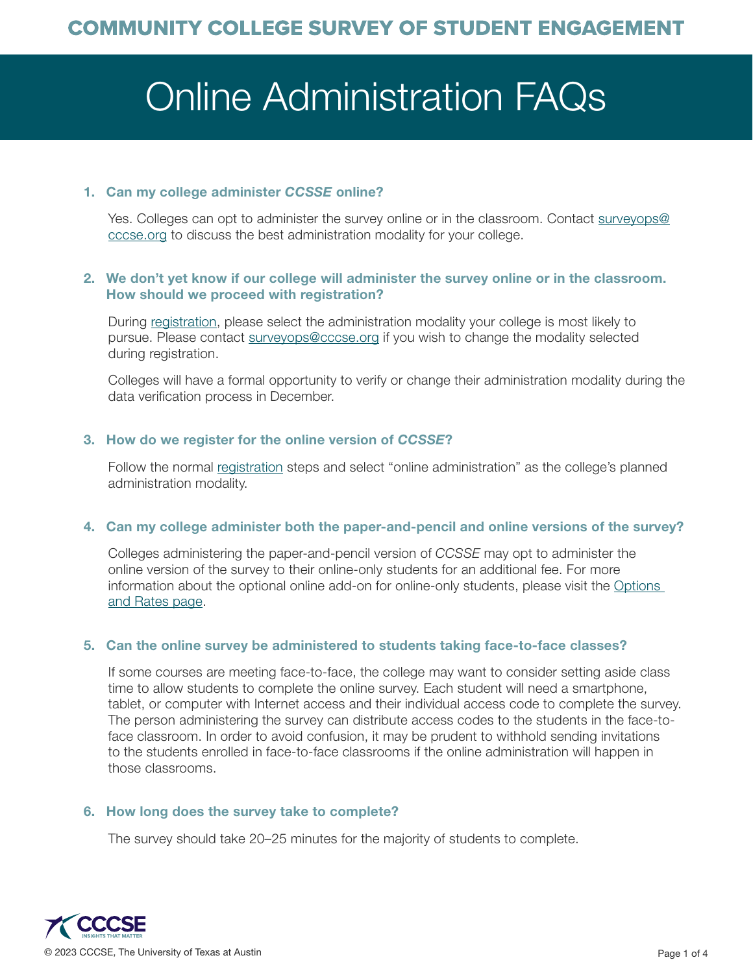# Online Administration FAQs

# 1. Can my college administer *CCSSE* online?

Yes. Colleges can opt to administer the survey online or in the classroom. Contact [surveyops@](mailto:surveyops%40cccse.org?subject=) [cccse.org](mailto:surveyops%40cccse.org?subject=) to discuss the best administration modality for your college.

# 2. We don't yet know if our college will administer the survey online or in the classroom. How should we proceed with registration?

During [registration](https://www.ccsse.org/join/apply_institution.cfm), please select the administration modality your college is most likely to pursue. Please contact [surveyops@cccse.org](mailto:surveyops%40cccse.org?subject=) if you wish to change the modality selected during registration.

Colleges will have a formal opportunity to verify or change their administration modality during the data verification process in December.

# 3. How do we register for the online version of *CCSSE*?

Follow the normal [registration](https://www.ccsse.org/join/apply_institution.cfm) steps and select "online administration" as the college's planned administration modality.

## 4. Can my college administer both the paper-and-pencil and online versions of the survey?

Colleges administering the paper-and-pencil version of *CCSSE* may opt to administer the online version of the survey to their online-only students for an additional fee. For more information about the optional online add-on for online-only students, please visit the [Options](https://www.ccsse.org/join/options.cfm#optionaladdon)  [and Rates page.](https://www.ccsse.org/join/options.cfm#optionaladdon)

## 5. Can the online survey be administered to students taking face-to-face classes?

If some courses are meeting face-to-face, the college may want to consider setting aside class time to allow students to complete the online survey. Each student will need a smartphone, tablet, or computer with Internet access and their individual access code to complete the survey. The person administering the survey can distribute access codes to the students in the face-toface classroom. In order to avoid confusion, it may be prudent to withhold sending invitations to the students enrolled in face-to-face classrooms if the online administration will happen in those classrooms.

## 6. How long does the survey take to complete?

The survey should take 20–25 minutes for the majority of students to complete.

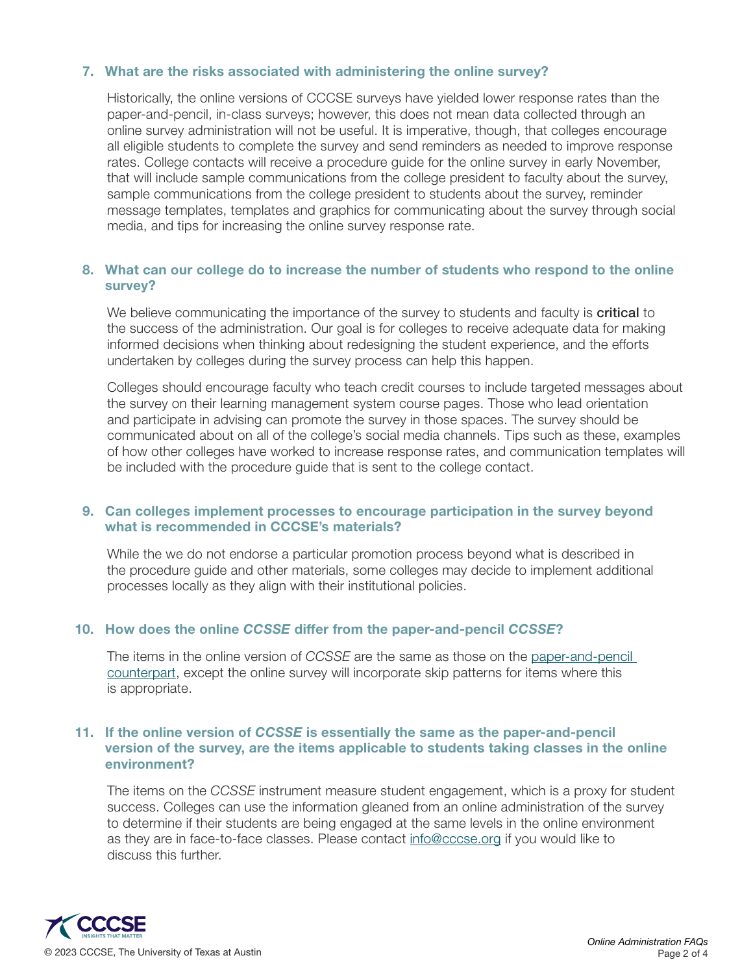## 7. What are the risks associated with administering the online survey?

Historically, the online versions of CCCSE surveys have yielded lower response rates than the paper-and-pencil, in-class surveys; however, this does not mean data collected through an online survey administration will not be useful. It is imperative, though, that colleges encourage all eligible students to complete the survey and send reminders as needed to improve response rates. College contacts will receive a procedure guide for the online survey in early November, that will include sample communications from the college president to faculty about the survey, sample communications from the college president to students about the survey, reminder message templates, templates and graphics for communicating about the survey through social media, and tips for increasing the online survey response rate.

## 8. What can our college do to increase the number of students who respond to the online survey?

We believe communicating the importance of the survey to students and faculty is **critical** to the success of the administration. Our goal is for colleges to receive adequate data for making informed decisions when thinking about redesigning the student experience, and the efforts undertaken by colleges during the survey process can help this happen.

Colleges should encourage faculty who teach credit courses to include targeted messages about the survey on their learning management system course pages. Those who lead orientation and participate in advising can promote the survey in those spaces. The survey should be communicated about on all of the college's social media channels. Tips such as these, examples of how other colleges have worked to increase response rates, and communication templates will be included with the procedure guide that is sent to the college contact.

## 9. Can colleges implement processes to encourage participation in the survey beyond what is recommended in CCCSE's materials?

While the we do not endorse a particular promotion process beyond what is described in the procedure guide and other materials, some colleges may decide to implement additional processes locally as they align with their institutional policies.

#### 10. How does the online *CCSSE* differ from the paper-and-pencil *CCSSE*?

The items in the online version of *CCSSE* are the same as those on the [paper-and-pencil](https://www.ccsse.org/refresh/CCSSE_Refresh_Sample.pdf)  [counterpart](https://www.ccsse.org/refresh/CCSSE_Refresh_Sample.pdf), except the online survey will incorporate skip patterns for items where this is appropriate.

## 11. If the online version of *CCSSE* is essentially the same as the paper-and-pencil version of the survey, are the items applicable to students taking classes in the online environment?

The items on the *CCSSE* instrument measure student engagement, which is a proxy for student success. Colleges can use the information gleaned from an online administration of the survey to determine if their students are being engaged at the same levels in the online environment as they are in face-to-face classes. Please contact [info@cccse.org](mailto:info%40cccse.org?subject=) if you would like to discuss this further.

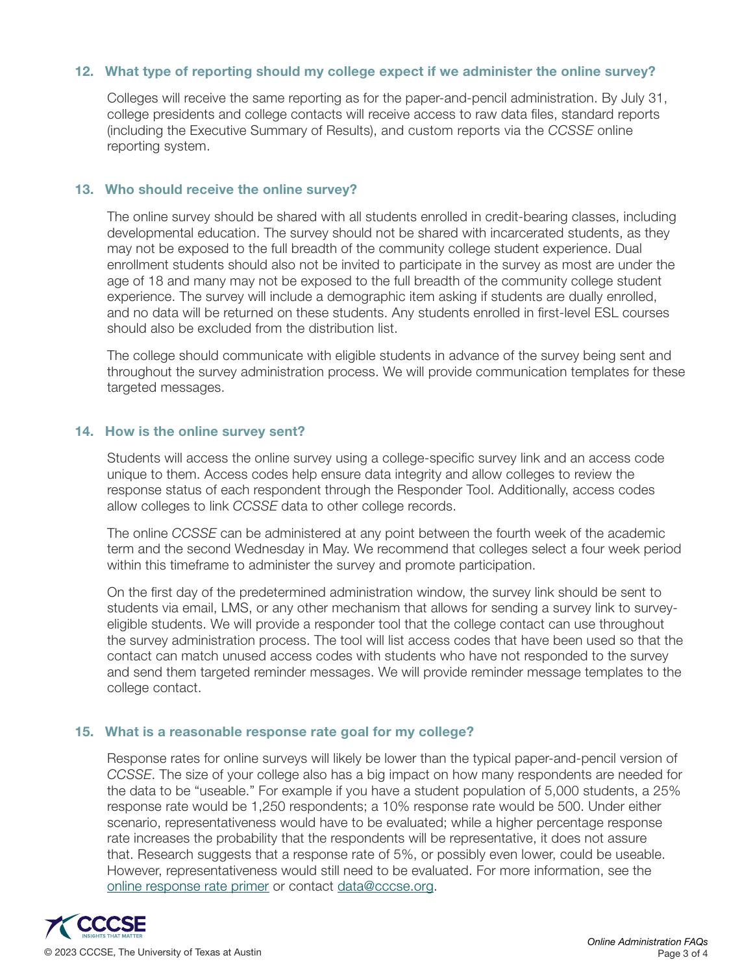## 12. What type of reporting should my college expect if we administer the online survey?

Colleges will receive the same reporting as for the paper-and-pencil administration. By July 31, college presidents and college contacts will receive access to raw data files, standard reports (including the Executive Summary of Results), and custom reports via the *CCSSE* online reporting system.

#### 13. Who should receive the online survey?

The online survey should be shared with all students enrolled in credit-bearing classes, including developmental education. The survey should not be shared with incarcerated students, as they may not be exposed to the full breadth of the community college student experience. Dual enrollment students should also not be invited to participate in the survey as most are under the age of 18 and many may not be exposed to the full breadth of the community college student experience. The survey will include a demographic item asking if students are dually enrolled, and no data will be returned on these students. Any students enrolled in first-level ESL courses should also be excluded from the distribution list.

The college should communicate with eligible students in advance of the survey being sent and throughout the survey administration process. We will provide communication templates for these targeted messages.

#### 14. How is the online survey sent?

Students will access the online survey using a college-specific survey link and an access code unique to them. Access codes help ensure data integrity and allow colleges to review the response status of each respondent through the Responder Tool. Additionally, access codes allow colleges to link *CCSSE* data to other college records.

The online *CCSSE* can be administered at any point between the fourth week of the academic term and the second Wednesday in May. We recommend that colleges select a four week period within this timeframe to administer the survey and promote participation.

On the first day of the predetermined administration window, the survey link should be sent to students via email, LMS, or any other mechanism that allows for sending a survey link to surveyeligible students. We will provide a responder tool that the college contact can use throughout the survey administration process. The tool will list access codes that have been used so that the contact can match unused access codes with students who have not responded to the survey and send them targeted reminder messages. We will provide reminder message templates to the college contact.

#### 15. What is a reasonable response rate goal for my college?

Response rates for online surveys will likely be lower than the typical paper-and-pencil version of *CCSSE*. The size of your college also has a big impact on how many respondents are needed for the data to be "useable." For example if you have a student population of 5,000 students, a 25% response rate would be 1,250 respondents; a 10% response rate would be 500. Under either scenario, representativeness would have to be evaluated; while a higher percentage response rate increases the probability that the respondents will be representative, it does not assure that. Research suggests that a response rate of 5%, or possibly even lower, could be useable. However, representativeness would still need to be evaluated. For more information, see the [online response rate primer](https://www.ccsse.org/docs/RespRate_ForOnlineColleges_CCSSE.pdf) or contact [data@cccse.org.](mailto:data%40cccse.org?subject=Online%20Survey%20Response%20Rate%20Inquiry)